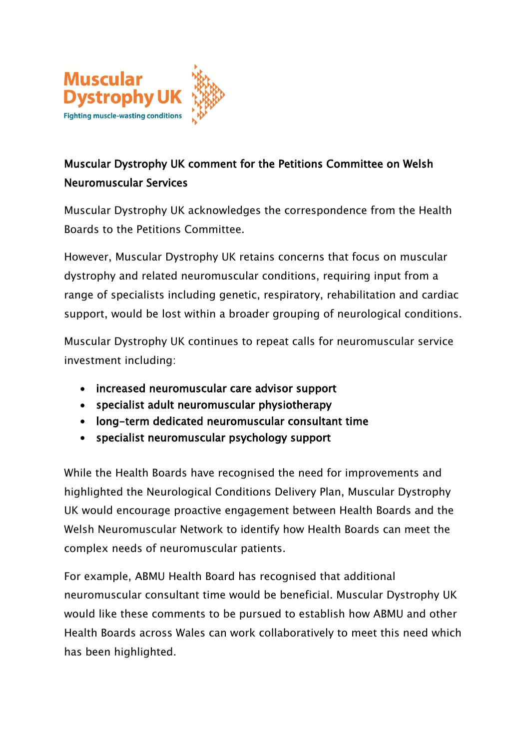

## **Muscular Dystrophy UK comment for the Petitions Committee on Welsh Neuromuscular Services**

Muscular Dystrophy UK acknowledges the correspondence from the Health Boards to the Petitions Committee.

However, Muscular Dystrophy UK retains concerns that focus on muscular dystrophy and related neuromuscular conditions, requiring input from a range of specialists including genetic, respiratory, rehabilitation and cardiac support, would be lost within a broader grouping of neurological conditions.

Muscular Dystrophy UK continues to repeat calls for neuromuscular service investment including:

- **increased neuromuscular care advisor support**
- **specialist adult neuromuscular physiotherapy**
- **long-term dedicated neuromuscular consultant time**
- **specialist neuromuscular psychology support**

While the Health Boards have recognised the need for improvements and highlighted the Neurological Conditions Delivery Plan, Muscular Dystrophy UK would encourage proactive engagement between Health Boards and the Welsh Neuromuscular Network to identify how Health Boards can meet the complex needs of neuromuscular patients.

For example, ABMU Health Board has recognised that additional neuromuscular consultant time would be beneficial. Muscular Dystrophy UK would like these comments to be pursued to establish how ABMU and other Health Boards across Wales can work collaboratively to meet this need which has been highlighted.